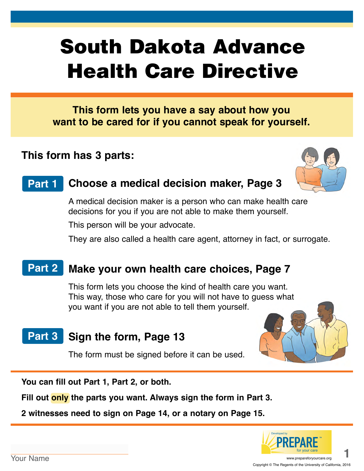# South Dakota Advance Health Care Directive

**This form lets you have a say about how you want to be cared for if you cannot speak for yourself.**

# **This form has 3 parts:**



#### **Choose a medical decision maker, Page 3 Part 1**

A medical decision maker is a person who can make health care decisions for you if you are not able to make them yourself.

This person will be your advocate.

They are also called a health care agent, attorney in fact, or surrogate.

#### **Make your own health care choices, Page 7 Part 2**

This form lets you choose the kind of health care you want. This way, those who care for you will not have to guess what you want if you are not able to tell them yourself.

# Part 3 Sign the form, Page 13

The form must be signed before it can be used.



**You can fill out Part 1, Part 2, or both.** 

**Fill out only the parts you want. Always sign the form in Part 3.**

**2 witnesses need to sign on Page 14, or a notary on Page 15.**

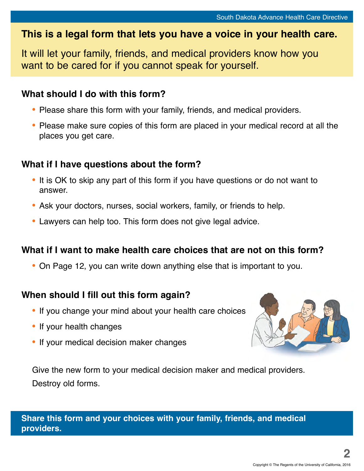# **This is a legal form that lets you have a voice in your health care.**

It will let your family, friends, and medical providers know how you want to be cared for if you cannot speak for yourself.

### **What should I do with this form?**

- **•** Please share this form with your family, friends, and medical providers.
- **•** Please make sure copies of this form are placed in your medical record at all the places you get care.

### **What if I have questions about the form?**

- **•** It is OK to skip any part of this form if you have questions or do not want to answer.
- **•** Ask your doctors, nurses, social workers, family, or friends to help.
- **•** Lawyers can help too. This form does not give legal advice.

### **What if I want to make health care choices that are not on this form?**

**•** On Page 12, you can write down anything else that is important to you.

### **When should I fill out this form again?**

- **•** If you change your mind about your health care choices
- **•** If your health changes
- **•** If your medical decision maker changes



Give the new form to your medical decision maker and medical providers. Destroy old forms.

**Share this form and your choices with your family, friends, and medical providers.**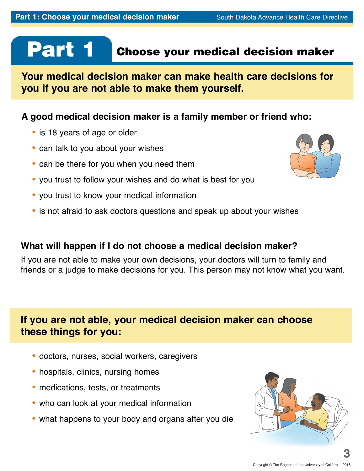# Part 1

# Choose your medical decision maker

**Your medical decision maker can make health care decisions for you if you are not able to make them yourself.**

### **A good medical decision maker is a family member or friend who:**

- **•** is 18 years of age or older
- **•** can talk to you about your wishes
- **•** can be there for you when you need them
- **•** you trust to follow your wishes and do what is best for you
- **•** you trust to know your medical information
- **•** is not afraid to ask doctors questions and speak up about your wishes

### **What will happen if I do not choose a medical decision maker?**

If you are not able to make your own decisions, your doctors will turn to family and friends or a judge to make decisions for you. This person may not know what you want.

# **If you are not able, your medical decision maker can choose these things for you:**

- **•** doctors, nurses, social workers, caregivers
- **•** hospitals, clinics, nursing homes
- **•** medications, tests, or treatments
- **•** who can look at your medical information
- **•** what happens to your body and organs after you die



**3**

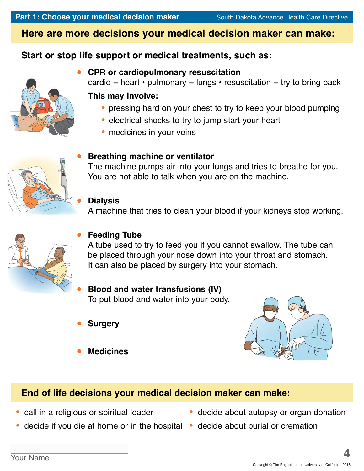# **Here are more decisions your medical decision maker can make:**

# **Start or stop life support or medical treatments, such as:**



### **CPR or cardiopulmonary resuscitation**

cardio = heart  $\cdot$  pulmonary = lungs  $\cdot$  resuscitation = try to bring back

### **This may involve:**

- **•** pressing hard on your chest to try to keep your blood pumping
- **•** electrical shocks to try to jump start your heart
- **•** medicines in your veins



### **Breathing machine or ventilator**

The machine pumps air into your lungs and tries to breathe for you. You are not able to talk when you are on the machine.

### **Dialysis**

A machine that tries to clean your blood if your kidneys stop working.



### **Feeding Tube**

A tube used to try to feed you if you cannot swallow. The tube can be placed through your nose down into your throat and stomach. It can also be placed by surgery into your stomach.

### **Blood and water transfusions (IV)** To put blood and water into your body.

- **Surgery**
- **Medicines**



## **End of life decisions your medical decision maker can make:**

- **•** call in a religious or spiritual leader
- **•** decide if you die at home or in the hospital **•** decide about burial or cremation
- decide about autopsy or organ donation
	-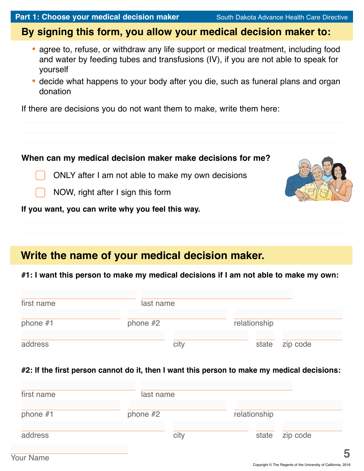# **By signing this form, you allow your medical decision maker to:**

- **•** agree to, refuse, or withdraw any life support or medical treatment, including food and water by feeding tubes and transfusions (IV), if you are not able to speak for yourself
- **•** decide what happens to your body after you die, such as funeral plans and organ donation

If there are decisions you do not want them to make, write them here:

## **When can my medical decision maker make decisions for me?**

ONLY after I am not able to make my own decisions



NOW, right after I sign this form

**If you want, you can write why you feel this way.**

# **Write the name of your medical decision maker.**

### **#1: I want this person to make my medical decisions if I am not able to make my own:**

| first name | last name |      |              |       |          |
|------------|-----------|------|--------------|-------|----------|
| phone #1   | phone #2  |      | relationship |       |          |
| address    |           | city |              | state | zip code |

### **#2: If the first person cannot do it, then I want this person to make my medical decisions:**

| first name | last name  |              |          |
|------------|------------|--------------|----------|
| phone $#1$ | phone $#2$ | relationship |          |
| address    | city       | state        | zip code |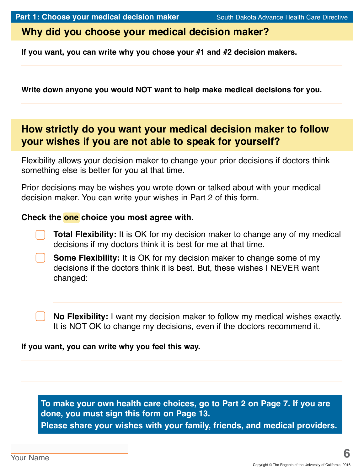### **Why did you choose your medical decision maker?**

**If you want, you can write why you chose your #1 and #2 decision makers.** 

**Write down anyone you would NOT want to help make medical decisions for you.**

# **How strictly do you want your medical decision maker to follow your wishes if you are not able to speak for yourself?**

Flexibility allows your decision maker to change your prior decisions if doctors think something else is better for you at that time.

Prior decisions may be wishes you wrote down or talked about with your medical decision maker. You can write your wishes in Part 2 of this form.

### **Check the one choice you most agree with.**

**Total Flexibility:** It is OK for my decision maker to change any of my medical decisions if my doctors think it is best for me at that time.

**Some Flexibility:** It is OK for my decision maker to change some of my decisions if the doctors think it is best. But, these wishes I NEVER want changed:

**No Flexibility:** I want my decision maker to follow my medical wishes exactly. It is NOT OK to change my decisions, even if the doctors recommend it.

### **If you want, you can write why you feel this way.**

**To make your own health care choices, go to Part 2 on Page 7. If you are done, you must sign this form on Page 13. Please share your wishes with your family, friends, and medical providers.**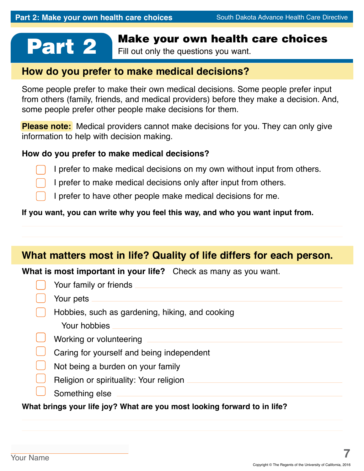# **Part 2** Make your own health care choices<br>Fill out only the questions you want.

Fill out only the questions you want.

### **How do you prefer to make medical decisions?**

Some people prefer to make their own medical decisions. Some people prefer input from others (family, friends, and medical providers) before they make a decision. And, some people prefer other people make decisions for them.

**Please note:** Medical providers cannot make decisions for you. They can only give information to help with decision making.

### **How do you prefer to make medical decisions?**

I prefer to make medical decisions on my own without input from others.

I prefer to make medical decisions only after input from others.

I prefer to have other people make medical decisions for me.

### **If you want, you can write why you feel this way, and who you want input from.**

## **What matters most in life? Quality of life differs for each person.**

**What is most important in your life?** Check as many as you want.

| Your family or friends                          |
|-------------------------------------------------|
| Your pets                                       |
| Hobbies, such as gardening, hiking, and cooking |
| Your hobbies                                    |
| Working or volunteering                         |
| Caring for yourself and being independent       |
| Not being a burden on your family               |
| Religion or spirituality: Your religion         |
|                                                 |

Something else  $\Box$ 

**What brings your life joy? What are you most looking forward to in life?**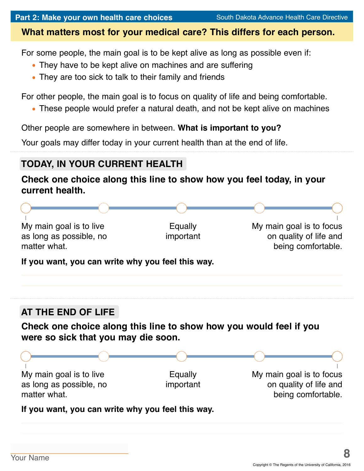### **What matters most for your medical care? This differs for each person.**

For some people, the main goal is to be kept alive as long as possible even if:

- **•** They have to be kept alive on machines and are suffering
- **•** They are too sick to talk to their family and friends

For other people, the main goal is to focus on quality of life and being comfortable.

**•** These people would prefer a natural death, and not be kept alive on machines

Other people are somewhere in between. **What is important to you?**

Your goals may differ today in your current health than at the end of life.

# **TODAY, IN YOUR CURRENT HEALTH**

### **Check one choice along this line to show how you feel today, in your current health.**

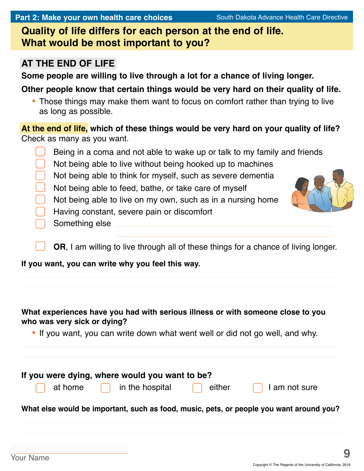**Quality of life differs for each person at the end of life. What would be most important to you?** 

# **AT THE END OF LIFE**

**Some people are willing to live through a lot for a chance of living longer.** 

**Other people know that certain things would be very hard on their quality of life.**

**•** Those things may make them want to focus on comfort rather than trying to live as long as possible.

**At the end of life, which of these things would be very hard on your quality of life?**  Check as many as you want.

Being in a coma and not able to wake up or talk to my family and friends Not being able to live without being hooked up to machines Not being able to think for myself, such as severe dementia Not being able to feed, bathe, or take care of myself Not being able to live on my own, such as in a nursing home Having constant, severe pain or discomfort Something else

**OR**, I am willing to live through all of these things for a chance of living longer.

**If you want, you can write why you feel this way.**

### **What experiences have you had with serious illness or with someone close to you who was very sick or dying?**

**•** If you want, you can write down what went well or did not go well, and why.

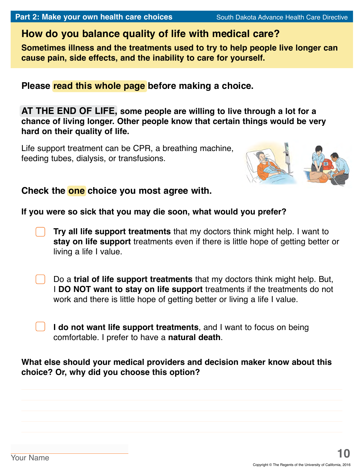# **How do you balance quality of life with medical care?**

**Sometimes illness and the treatments used to try to help people live longer can cause pain, side effects, and the inability to care for yourself.**

**Please read this whole page before making a choice.**

**AT THE END OF LIFE, some people are willing to live through a lot for a chance of living longer. Other people know that certain things would be very hard on their quality of life.**

Life support treatment can be CPR, a breathing machine, feeding tubes, dialysis, or transfusions.



### **Check the one choice you most agree with.**

### **If you were so sick that you may die soon, what would you prefer?**

- **Try all life support treatments** that my doctors think might help. I want to **stay on life support** treatments even if there is little hope of getting better or living a life I value.
- Do a **trial of life support treatments** that my doctors think might help. But, I **DO NOT want to stay on life support** treatments if the treatments do not work and there is little hope of getting better or living a life I value.
	- **I do not want life support treatments**, and I want to focus on being comfortable. I prefer to have a **natural death**.

### **What else should your medical providers and decision maker know about this choice? Or, why did you choose this option?**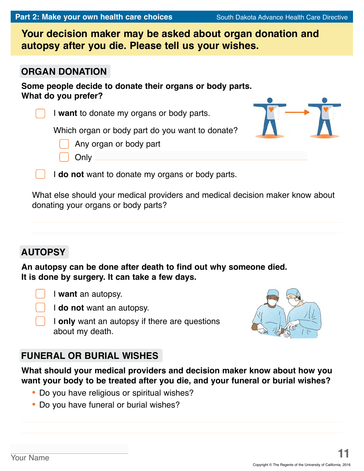**Your decision maker may be asked about organ donation and autopsy after you die. Please tell us your wishes.**

### **ORGAN DONATION**

**Some people decide to donate their organs or body parts. What do you prefer?**

I **want** to donate my organs or body parts.

Which organ or body part do you want to donate?

Any organ or body part

I **do not** want to donate my organs or body parts.

What else should your medical providers and medical decision maker know about donating your organs or body parts?

# **AUTOPSY**

**An autopsy can be done after death to find out why someone died. It is done by surgery. It can take a few days.**

I **want** an autopsy.

**Only** 

I **do not** want an autopsy.

I **only** want an autopsy if there are questions about my death.

# **FUNERAL OR BURIAL WISHES**

**What should your medical providers and decision maker know about how you want your body to be treated after you die, and your funeral or burial wishes?**

- **•** Do you have religious or spiritual wishes?
- **•** Do you have funeral or burial wishes?



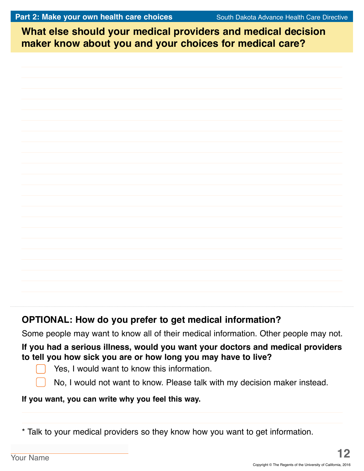**What else should your medical providers and medical decision What else should your medical providers and medical decision maker know about you and your choices for medical care? maker know about you and your choices for medical care?**

# **OPTIONAL: How do you prefer to get medical information?**

Some people may want to know all of their medical information. Other people may not.

### **If you had a serious illness, would you want your doctors and medical providers to tell you how sick you are or how long you may have to live?**



Yes, I would want to know this information.

No, I would not want to know. Please talk with my decision maker instead.

### **If you want, you can write why you feel this way.**

\* Talk to your medical providers so they know how you want to get information.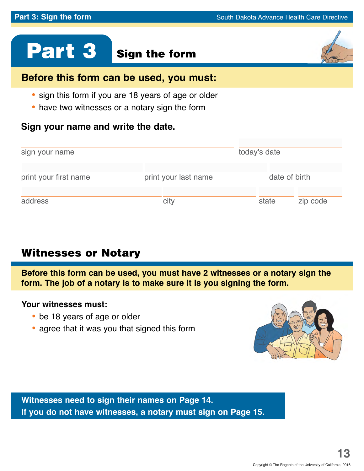# Part 3 Sign the form

# **Before this form can be used, you must:**

- **•** sign this form if you are 18 years of age or older
- **•** have two witnesses or a notary sign the form

### **Sign your name and write the date.**

| sign your name                                | today's date |               |          |
|-----------------------------------------------|--------------|---------------|----------|
| print your first name<br>print your last name |              | date of birth |          |
| address                                       | city         | state         | zip code |

# Witnesses or Notary

**Before this form can be used, you must have 2 witnesses or a notary sign the form. The job of a notary is to make sure it is you signing the form.**

### **Your witnesses must:**

- **•** be 18 years of age or older
- **•** agree that it was you that signed this form



**Witnesses need to sign their names on Page 14. If you do not have witnesses, a notary must sign on Page 15.**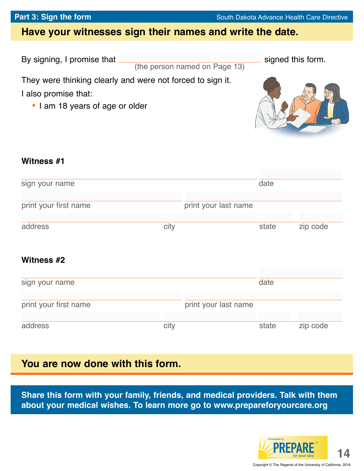# **Have your witnesses sign their names and write the date.**

By signing, I promise that signed this form.

(the person named on Page 13)

They were thinking clearly and were not forced to sign it.

I also promise that:

**•** I am 18 years of age or older



### **Witness #1**

| sign your name        |      |                      | date  |          |
|-----------------------|------|----------------------|-------|----------|
| print your first name |      | print your last name |       |          |
| address               | city |                      | state | zip code |
| Witness #2            |      |                      |       |          |
| sign your name        |      |                      | date  |          |
| print your first name |      | print your last name |       |          |
| address               | city |                      | state | zip code |

### **You are now done with this form.**

**Share this form with your family, friends, and medical providers. Talk with them about your medical wishes. To learn more go to www.prepareforyourcare.org**